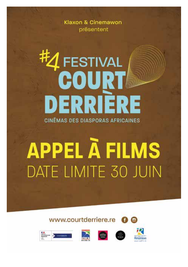Klaxon & Cinemawon présentent

## **EESTIVAL COURT** DERRIERE **CINÉMAS DES DIASPORAS AFRICAINES**

# **APPEL À FILMS** DATE LIMITE 30 JUIN









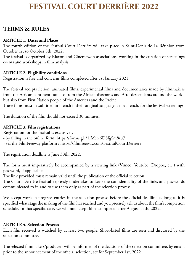### **FESTIVAL COURT DERRIÈRE 2022**

#### **TERMS & RULES**

#### **ARTICLE 1. Dates and Places**

The fourth edition of the Festival Court Derrière will take place in Saint-Denis de La Réunion from October 1st to October 8th, 2022.

The festival is organized by Klaxon and Cinemawon associations, working in the curation of screenings events and workshops in film analysis.

#### **ARTICLE 2. Eligibility conditions**

Registration is free and concerns films completed after 1st January 2021.

The festival accepts fiction, animated films, experimental films and documentaries made by filmmakers from the African continent but also from the African diasporas and Afro-descendants around the world, but also from First Nation people of the Americas and the Pacific.

These films must be subtitled in French if their original language is not French, for the festival screenings.

The duration of the film should not exceed 30 minutes.

#### **ARTICLE 3. Film registrations**

Registration for the festival is exclusively:

- by filling in the online form: https://forms.gle/1fMere6D8fgSm8ru7

- via the FilmFreeway platform : https://filmfreeway.com/FestivalCourtDerriere

The registration deadline is June 30th, 2022.

The form must imperatively be accompanied by a viewing link (Vimeo, Youtube, Dropox, etc.) with password, if applicable.

The link provided must remain valid until the publication of the official selection.

The Court Derrière festival expressly undertakes to keep the confidentiality of the links and passwords communicated to it, and to use them only as part of the selection process.

We accept work-in-progress entries in the selection process before the official deadline as long as it is specified what stage the making of the film has reached and you precisely tell us about the film's completion schedule. In that specific case, we will not accept films completed after August 15th, 2022.

#### **ARTICLE 4. Selection Process**

Each film received is watched by at least two people. Short-listed films are seen and discussed by the selection committee.

The selected filmmakers/producers will be informed of the decisions of the selection committee, by email, prior to the announcement of the official selection, set for September 1st, 2022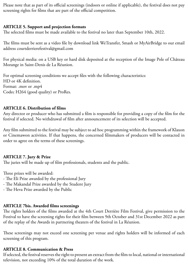Please note that as part of its official screenings (indoors or online if applicable), the festival does not pay screening rights for films that are part of the official competition.

#### **ARTICLE 5. Support and projection formats**

The selected films must be made available to the festival no later than September 10th, 2022.

The films must be sent as a video file by download link WeTransfer, Smash or MyAirBridge to our email address courtderrierefestival@gmail.com

For physical media: on a USB key or hard disk deposited at the reception of the Image Pole of Château Morange in Saint-Denis de La Réunion.

For optimal screening conditions we accept files with the following characteristics: HD or 4K definition. Format: .mov or .mp4 Codec H264 (good quality) or ProRes.

#### **ARTICLE 6. Distribution of films**

Any director or producer who has submitted a film is responsible for providing a copy of the film for the festival if selected. No withdrawal of film after announcement of its selection will be accepted.

Any film submitted to the festival may be subject to ad hoc programming within the framework of Klaxon or Cinemawon activities. If that happens, the concerned filmmakers of producers will be contacted in order to agree on the terms of these screenings.

#### **ARTICLE 7. Jury & Prize**

The juries will be made up of film professionals, students and the public.

Three prizes will be awarded:

- The Eli Prize awarded by the professional Jury
- The Makandal Prize awarded by the Student Jury
- The Heva Prize awarded by the Public

#### **ARTICLE 7bis. Awarded films screenings**

The rights holders of the films awarded at the 4th Court Derrière Film Festival, give permission to the Festival to have the screening rights for their film between 9th October and 31st December 2022 as part of the replay of the Awards in partnering theaters of the festival in La Réunion.

These screenings may not exceed one screening per venue and rights holders will be informed of each screening of this program.

#### **ARTICLE 8. Communication & Press**

If selected, the festival reserves the right to present an extract from the film to local, national or international television, not exceeding 10% of the total duration of the work.